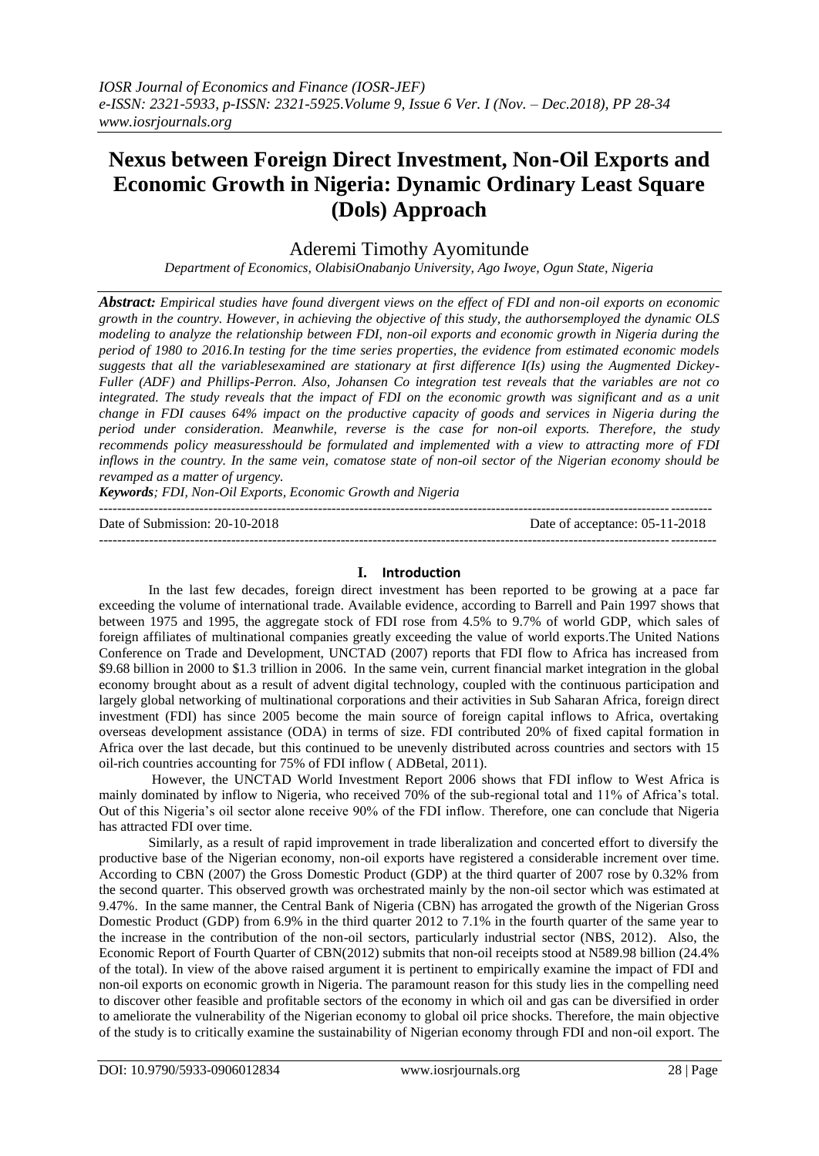# **Nexus between Foreign Direct Investment, Non-Oil Exports and Economic Growth in Nigeria: Dynamic Ordinary Least Square (Dols) Approach**

# Aderemi Timothy Ayomitunde

*Department of Economics, OlabisiOnabanjo University, Ago Iwoye, Ogun State, Nigeria*

*Abstract: Empirical studies have found divergent views on the effect of FDI and non-oil exports on economic growth in the country. However, in achieving the objective of this study, the authorsemployed the dynamic OLS modeling to analyze the relationship between FDI, non-oil exports and economic growth in Nigeria during the period of 1980 to 2016.In testing for the time series properties, the evidence from estimated economic models suggests that all the variablesexamined are stationary at first difference I(Is) using the Augmented Dickey-Fuller (ADF) and Phillips-Perron. Also, Johansen Co integration test reveals that the variables are not co integrated. The study reveals that the impact of FDI on the economic growth was significant and as a unit change in FDI causes 64% impact on the productive capacity of goods and services in Nigeria during the period under consideration. Meanwhile, reverse is the case for non-oil exports. Therefore, the study recommends policy measuresshould be formulated and implemented with a view to attracting more of FDI inflows in the country. In the same vein, comatose state of non-oil sector of the Nigerian economy should be revamped as a matter of urgency.*

*Keywords; FDI, Non-Oil Exports, Economic Growth and Nigeria*

 $-1.1$ 

Date of Submission: 20-10-2018 Date of acceptance: 05-11-2018

---------------------------------------------------------------------------------------------------------------------------------------

#### **I. Introduction**

In the last few decades, foreign direct investment has been reported to be growing at a pace far exceeding the volume of international trade. Available evidence, according to Barrell and Pain 1997 shows that between 1975 and 1995, the aggregate stock of FDI rose from 4.5% to 9.7% of world GDP, which sales of foreign affiliates of multinational companies greatly exceeding the value of world exports.The United Nations Conference on Trade and Development, UNCTAD (2007) reports that FDI flow to Africa has increased from \$9.68 billion in 2000 to \$1.3 trillion in 2006. In the same vein, current financial market integration in the global economy brought about as a result of advent digital technology, coupled with the continuous participation and largely global networking of multinational corporations and their activities in Sub Saharan Africa, foreign direct investment (FDI) has since 2005 become the main source of foreign capital inflows to Africa, overtaking overseas development assistance (ODA) in terms of size. FDI contributed 20% of fixed capital formation in Africa over the last decade, but this continued to be unevenly distributed across countries and sectors with 15 oil-rich countries accounting for 75% of FDI inflow ( ADBetal, 2011).

However, the UNCTAD World Investment Report 2006 shows that FDI inflow to West Africa is mainly dominated by inflow to Nigeria, who received 70% of the sub-regional total and 11% of Africa's total. Out of this Nigeria's oil sector alone receive 90% of the FDI inflow. Therefore, one can conclude that Nigeria has attracted FDI over time.

Similarly, as a result of rapid improvement in trade liberalization and concerted effort to diversify the productive base of the Nigerian economy, non-oil exports have registered a considerable increment over time. According to CBN (2007) the Gross Domestic Product (GDP) at the third quarter of 2007 rose by 0.32% from the second quarter. This observed growth was orchestrated mainly by the non-oil sector which was estimated at 9.47%. In the same manner, the Central Bank of Nigeria (CBN) has arrogated the growth of the Nigerian Gross Domestic Product (GDP) from 6.9% in the third quarter 2012 to 7.1% in the fourth quarter of the same year to the increase in the contribution of the non-oil sectors, particularly industrial sector (NBS, 2012). Also, the Economic Report of Fourth Quarter of CBN(2012) submits that non-oil receipts stood at N589.98 billion (24.4% of the total). In view of the above raised argument it is pertinent to empirically examine the impact of FDI and non-oil exports on economic growth in Nigeria. The paramount reason for this study lies in the compelling need to discover other feasible and profitable sectors of the economy in which oil and gas can be diversified in order to ameliorate the vulnerability of the Nigerian economy to global oil price shocks. Therefore, the main objective of the study is to critically examine the sustainability of Nigerian economy through FDI and non-oil export. The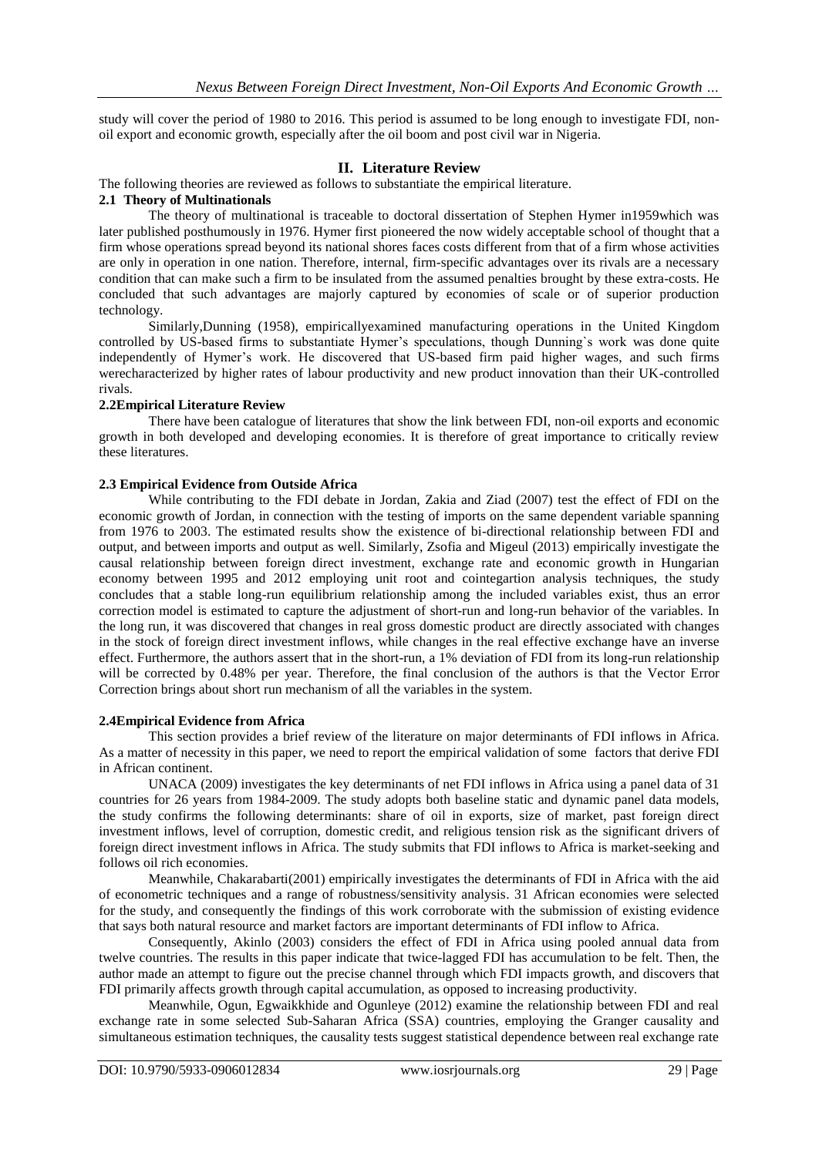study will cover the period of 1980 to 2016. This period is assumed to be long enough to investigate FDI, nonoil export and economic growth, especially after the oil boom and post civil war in Nigeria.

#### **II. Literature Review**

The following theories are reviewed as follows to substantiate the empirical literature.

#### **2.1 Theory of Multinationals**

The theory of multinational is traceable to doctoral dissertation of Stephen Hymer in1959which was later published posthumously in 1976. Hymer first pioneered the now widely acceptable school of thought that a firm whose operations spread beyond its national shores faces costs different from that of a firm whose activities are only in operation in one nation. Therefore, internal, firm-specific advantages over its rivals are a necessary condition that can make such a firm to be insulated from the assumed penalties brought by these extra-costs. He concluded that such advantages are majorly captured by economies of scale or of superior production technology.

Similarly,Dunning (1958), empiricallyexamined manufacturing operations in the United Kingdom controlled by US-based firms to substantiate Hymer's speculations, though Dunning`s work was done quite independently of Hymer's work. He discovered that US-based firm paid higher wages, and such firms werecharacterized by higher rates of labour productivity and new product innovation than their UK-controlled rivals.

#### **2.2Empirical Literature Review**

There have been catalogue of literatures that show the link between FDI, non-oil exports and economic growth in both developed and developing economies. It is therefore of great importance to critically review these literatures.

#### **2.3 Empirical Evidence from Outside Africa**

While contributing to the FDI debate in Jordan, Zakia and Ziad (2007) test the effect of FDI on the economic growth of Jordan, in connection with the testing of imports on the same dependent variable spanning from 1976 to 2003. The estimated results show the existence of bi-directional relationship between FDI and output, and between imports and output as well. Similarly, Zsofia and Migeul (2013) empirically investigate the causal relationship between foreign direct investment, exchange rate and economic growth in Hungarian economy between 1995 and 2012 employing unit root and cointegartion analysis techniques, the study concludes that a stable long-run equilibrium relationship among the included variables exist, thus an error correction model is estimated to capture the adjustment of short-run and long-run behavior of the variables. In the long run, it was discovered that changes in real gross domestic product are directly associated with changes in the stock of foreign direct investment inflows, while changes in the real effective exchange have an inverse effect. Furthermore, the authors assert that in the short-run, a 1% deviation of FDI from its long-run relationship will be corrected by 0.48% per year. Therefore, the final conclusion of the authors is that the Vector Error Correction brings about short run mechanism of all the variables in the system.

#### **2.4Empirical Evidence from Africa**

This section provides a brief review of the literature on major determinants of FDI inflows in Africa. As a matter of necessity in this paper, we need to report the empirical validation of some factors that derive FDI in African continent.

UNACA (2009) investigates the key determinants of net FDI inflows in Africa using a panel data of 31 countries for 26 years from 1984-2009. The study adopts both baseline static and dynamic panel data models, the study confirms the following determinants: share of oil in exports, size of market, past foreign direct investment inflows, level of corruption, domestic credit, and religious tension risk as the significant drivers of foreign direct investment inflows in Africa. The study submits that FDI inflows to Africa is market-seeking and follows oil rich economies.

Meanwhile, Chakarabarti(2001) empirically investigates the determinants of FDI in Africa with the aid of econometric techniques and a range of robustness/sensitivity analysis. 31 African economies were selected for the study, and consequently the findings of this work corroborate with the submission of existing evidence that says both natural resource and market factors are important determinants of FDI inflow to Africa.

Consequently, Akinlo (2003) considers the effect of FDI in Africa using pooled annual data from twelve countries. The results in this paper indicate that twice-lagged FDI has accumulation to be felt. Then, the author made an attempt to figure out the precise channel through which FDI impacts growth, and discovers that FDI primarily affects growth through capital accumulation, as opposed to increasing productivity.

Meanwhile, Ogun, Egwaikkhide and Ogunleye (2012) examine the relationship between FDI and real exchange rate in some selected Sub-Saharan Africa (SSA) countries, employing the Granger causality and simultaneous estimation techniques, the causality tests suggest statistical dependence between real exchange rate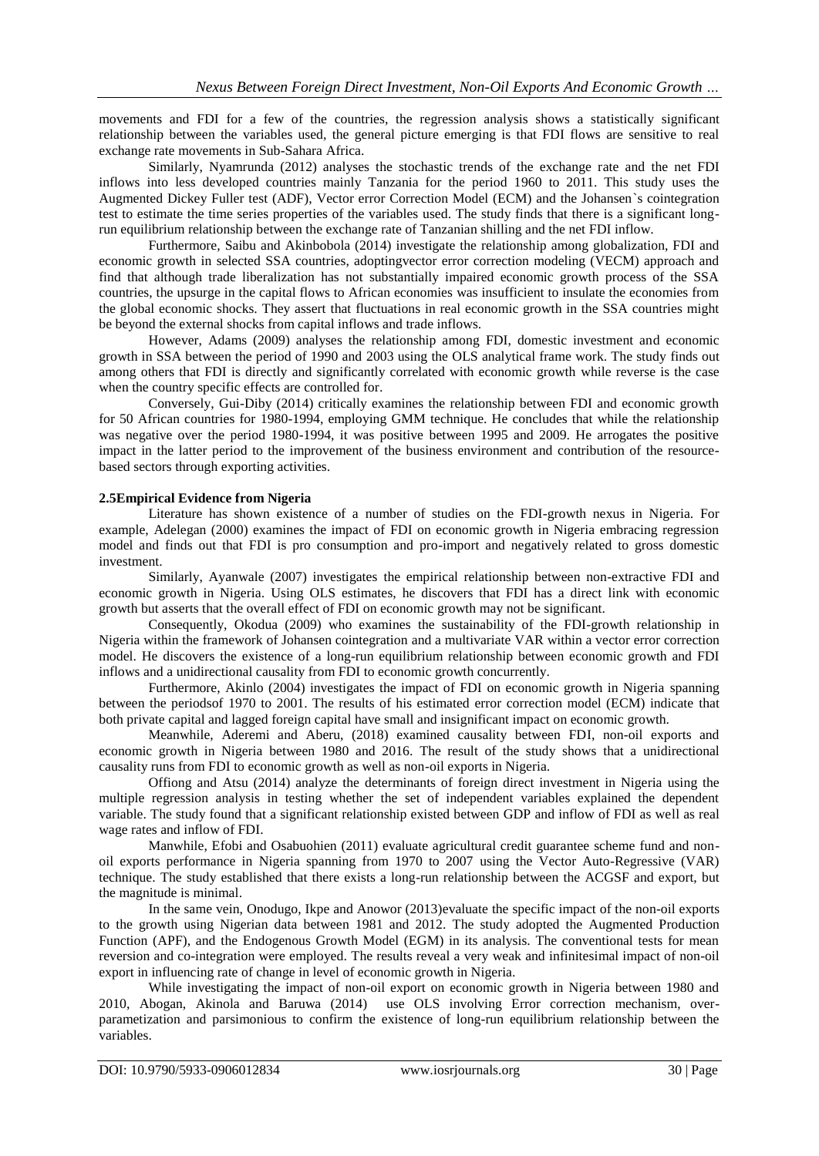movements and FDI for a few of the countries, the regression analysis shows a statistically significant relationship between the variables used, the general picture emerging is that FDI flows are sensitive to real exchange rate movements in Sub-Sahara Africa.

Similarly, Nyamrunda (2012) analyses the stochastic trends of the exchange rate and the net FDI inflows into less developed countries mainly Tanzania for the period 1960 to 2011. This study uses the Augmented Dickey Fuller test (ADF), Vector error Correction Model (ECM) and the Johansen`s cointegration test to estimate the time series properties of the variables used. The study finds that there is a significant longrun equilibrium relationship between the exchange rate of Tanzanian shilling and the net FDI inflow.

Furthermore, Saibu and Akinbobola (2014) investigate the relationship among globalization, FDI and economic growth in selected SSA countries, adoptingvector error correction modeling (VECM) approach and find that although trade liberalization has not substantially impaired economic growth process of the SSA countries, the upsurge in the capital flows to African economies was insufficient to insulate the economies from the global economic shocks. They assert that fluctuations in real economic growth in the SSA countries might be beyond the external shocks from capital inflows and trade inflows.

However, Adams (2009) analyses the relationship among FDI, domestic investment and economic growth in SSA between the period of 1990 and 2003 using the OLS analytical frame work. The study finds out among others that FDI is directly and significantly correlated with economic growth while reverse is the case when the country specific effects are controlled for.

Conversely, Gui-Diby (2014) critically examines the relationship between FDI and economic growth for 50 African countries for 1980-1994, employing GMM technique. He concludes that while the relationship was negative over the period 1980-1994, it was positive between 1995 and 2009. He arrogates the positive impact in the latter period to the improvement of the business environment and contribution of the resourcebased sectors through exporting activities.

#### **2.5Empirical Evidence from Nigeria**

Literature has shown existence of a number of studies on the FDI-growth nexus in Nigeria. For example, Adelegan (2000) examines the impact of FDI on economic growth in Nigeria embracing regression model and finds out that FDI is pro consumption and pro-import and negatively related to gross domestic investment.

Similarly, Ayanwale (2007) investigates the empirical relationship between non-extractive FDI and economic growth in Nigeria. Using OLS estimates, he discovers that FDI has a direct link with economic growth but asserts that the overall effect of FDI on economic growth may not be significant.

Consequently, Okodua (2009) who examines the sustainability of the FDI-growth relationship in Nigeria within the framework of Johansen cointegration and a multivariate VAR within a vector error correction model. He discovers the existence of a long-run equilibrium relationship between economic growth and FDI inflows and a unidirectional causality from FDI to economic growth concurrently.

Furthermore, Akinlo (2004) investigates the impact of FDI on economic growth in Nigeria spanning between the periodsof 1970 to 2001. The results of his estimated error correction model (ECM) indicate that both private capital and lagged foreign capital have small and insignificant impact on economic growth.

Meanwhile, Aderemi and Aberu, (2018) examined causality between FDI, non-oil exports and economic growth in Nigeria between 1980 and 2016. The result of the study shows that a unidirectional causality runs from FDI to economic growth as well as non-oil exports in Nigeria.

Offiong and Atsu (2014) analyze the determinants of foreign direct investment in Nigeria using the multiple regression analysis in testing whether the set of independent variables explained the dependent variable. The study found that a significant relationship existed between GDP and inflow of FDI as well as real wage rates and inflow of FDI.

Manwhile, Efobi and Osabuohien (2011) evaluate agricultural credit guarantee scheme fund and nonoil exports performance in Nigeria spanning from 1970 to 2007 using the Vector Auto-Regressive (VAR) technique. The study established that there exists a long-run relationship between the ACGSF and export, but the magnitude is minimal.

In the same vein, Onodugo, Ikpe and Anowor (2013)evaluate the specific impact of the non-oil exports to the growth using Nigerian data between 1981 and 2012. The study adopted the Augmented Production Function (APF), and the Endogenous Growth Model (EGM) in its analysis. The conventional tests for mean reversion and co-integration were employed. The results reveal a very weak and infinitesimal impact of non-oil export in influencing rate of change in level of economic growth in Nigeria.

While investigating the impact of non-oil export on economic growth in Nigeria between 1980 and 2010, Abogan, Akinola and Baruwa (2014) use OLS involving Error correction mechanism, overparametization and parsimonious to confirm the existence of long-run equilibrium relationship between the variables.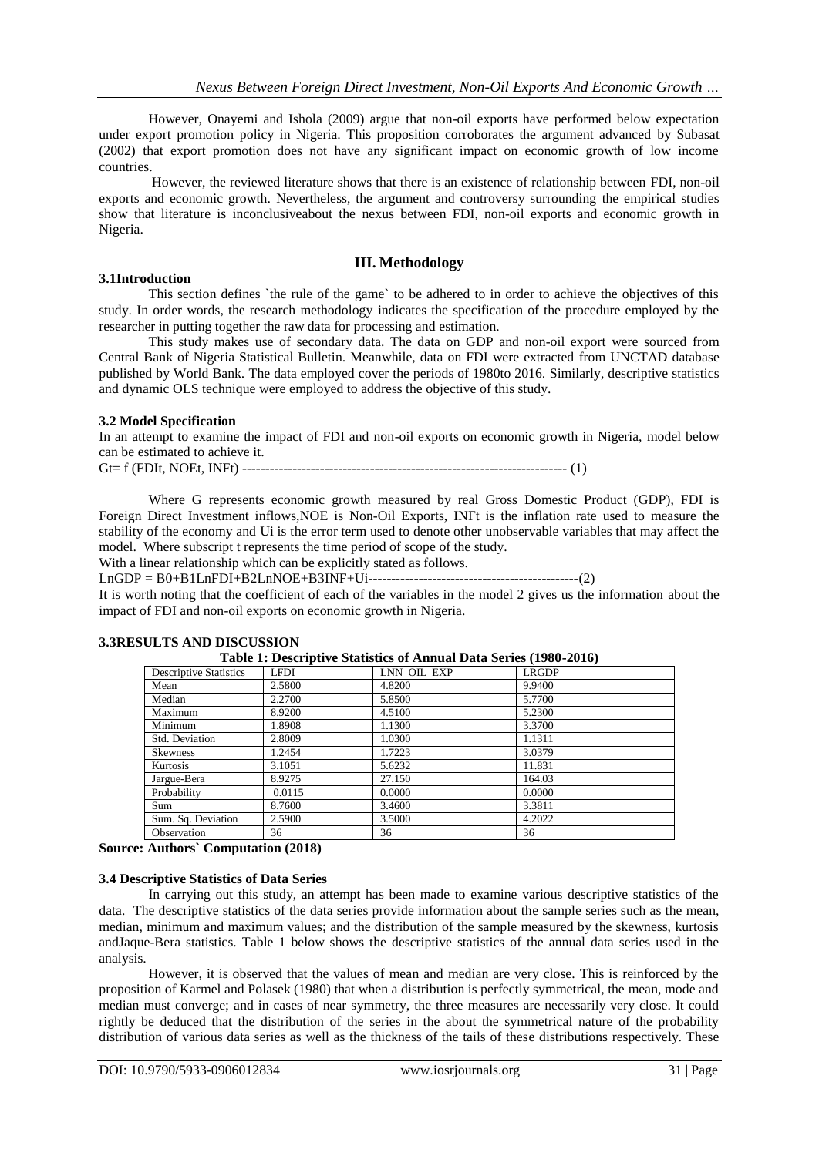However, Onayemi and Ishola (2009) argue that non-oil exports have performed below expectation under export promotion policy in Nigeria. This proposition corroborates the argument advanced by Subasat (2002) that export promotion does not have any significant impact on economic growth of low income countries.

However, the reviewed literature shows that there is an existence of relationship between FDI, non-oil exports and economic growth. Nevertheless, the argument and controversy surrounding the empirical studies show that literature is inconclusiveabout the nexus between FDI, non-oil exports and economic growth in Nigeria.

### **III. Methodology**

#### **3.1Introduction**

This section defines `the rule of the game` to be adhered to in order to achieve the objectives of this study. In order words, the research methodology indicates the specification of the procedure employed by the researcher in putting together the raw data for processing and estimation.

This study makes use of secondary data. The data on GDP and non-oil export were sourced from Central Bank of Nigeria Statistical Bulletin. Meanwhile, data on FDI were extracted from UNCTAD database published by World Bank. The data employed cover the periods of 1980to 2016. Similarly, descriptive statistics and dynamic OLS technique were employed to address the objective of this study.

#### **3.2 Model Specification**

In an attempt to examine the impact of FDI and non-oil exports on economic growth in Nigeria, model below can be estimated to achieve it.

Gt= f (FDIt, NOEt, INFt) ----------------------------------------------------------------------- (1)

Where G represents economic growth measured by real Gross Domestic Product (GDP), FDI is Foreign Direct Investment inflows,NOE is Non-Oil Exports, INFt is the inflation rate used to measure the stability of the economy and Ui is the error term used to denote other unobservable variables that may affect the model. Where subscript t represents the time period of scope of the study.

With a linear relationship which can be explicitly stated as follows.

LnGDP = B0+B1LnFDI+B2LnNOE+B3INF+Ui----------------------------------------------(2)

It is worth noting that the coefficient of each of the variables in the model 2 gives us the information about the impact of FDI and non-oil exports on economic growth in Nigeria.

| Table 1: Descriptive Statistics of Annual Data Series (1980-2016) |             |             |              |  |  |  |  |
|-------------------------------------------------------------------|-------------|-------------|--------------|--|--|--|--|
| <b>Descriptive Statistics</b>                                     | <b>LFDI</b> | LNN OIL EXP | <b>LRGDP</b> |  |  |  |  |
| Mean                                                              | 2.5800      | 4.8200      | 9.9400       |  |  |  |  |
| Median                                                            | 2.2700      | 5.8500      | 5.7700       |  |  |  |  |
| Maximum                                                           | 8.9200      | 4.5100      | 5.2300       |  |  |  |  |
| Minimum                                                           | 1.8908      | 1.1300      | 3.3700       |  |  |  |  |
| Std. Deviation                                                    | 2.8009      | 1.0300      | 1.1311       |  |  |  |  |
| <b>Skewness</b>                                                   | 1.2454      | 1.7223      | 3.0379       |  |  |  |  |
| Kurtosis                                                          | 3.1051      | 5.6232      | 11.831       |  |  |  |  |
| Jargue-Bera                                                       | 8.9275      | 27.150      | 164.03       |  |  |  |  |
| Probability                                                       | 0.0115      | 0.0000      | 0.0000       |  |  |  |  |
| Sum                                                               | 8.7600      | 3.4600      | 3.3811       |  |  |  |  |
| Sum. Sq. Deviation                                                | 2.5900      | 3.5000      | 4.2022       |  |  |  |  |
| Observation                                                       | 36          | 36          | 36           |  |  |  |  |

#### **3.3RESULTS AND DISCUSSION**

**Source: Authors` Computation (2018)**

## **3.4 Descriptive Statistics of Data Series**

In carrying out this study, an attempt has been made to examine various descriptive statistics of the data. The descriptive statistics of the data series provide information about the sample series such as the mean, median, minimum and maximum values; and the distribution of the sample measured by the skewness, kurtosis andJaque-Bera statistics. Table 1 below shows the descriptive statistics of the annual data series used in the analysis.

However, it is observed that the values of mean and median are very close. This is reinforced by the proposition of Karmel and Polasek (1980) that when a distribution is perfectly symmetrical, the mean, mode and median must converge; and in cases of near symmetry, the three measures are necessarily very close. It could rightly be deduced that the distribution of the series in the about the symmetrical nature of the probability distribution of various data series as well as the thickness of the tails of these distributions respectively. These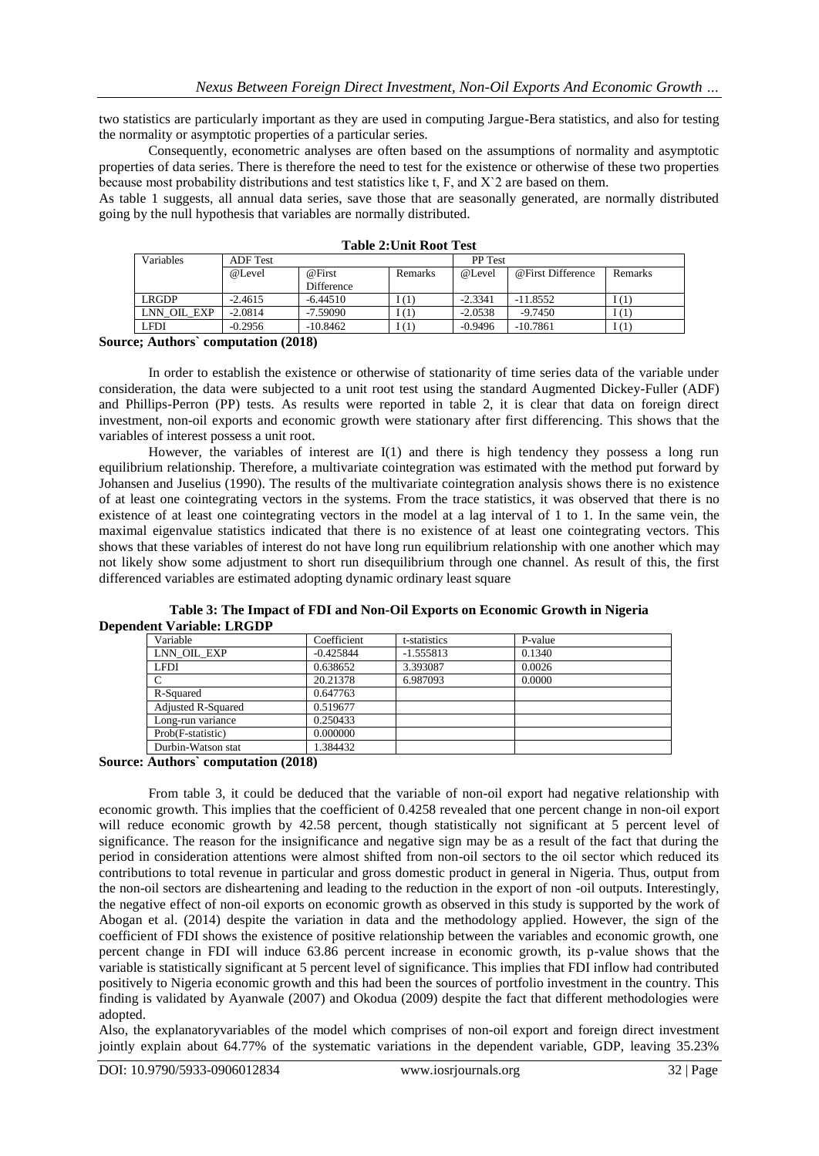two statistics are particularly important as they are used in computing Jargue-Bera statistics, and also for testing the normality or asymptotic properties of a particular series.

Consequently, econometric analyses are often based on the assumptions of normality and asymptotic properties of data series. There is therefore the need to test for the existence or otherwise of these two properties because most probability distributions and test statistics like t, F, and X`2 are based on them.

As table 1 suggests, all annual data series, save those that are seasonally generated, are normally distributed going by the null hypothesis that variables are normally distributed.

| Variables     | <b>ADF</b> Test |                                    |                | <b>PP</b> Test |                   |         |
|---------------|-----------------|------------------------------------|----------------|----------------|-------------------|---------|
|               | @Level          | @First                             | <b>Remarks</b> | @Level         | @First Difference | Remarks |
|               |                 | <b>Difference</b>                  |                |                |                   |         |
| LRGDP         | $-2.4615$       | $-6.44510$                         | I (1)          | $-2.3341$      | $-11.8552$        | I(1)    |
| LNN OIL EXP   | $-2.0814$       | $-7.59090$                         |                | $-2.0538$      | $-9.7450$         | I(1)    |
| LFDI          | $-0.2956$       | $-10.8462$                         |                | $-0.9496$      | $-10.7861$        | 1(1)    |
| $\sim$ $\sim$ | .               | $\sim$ $\sim$ $\sim$ $\sim$ $\sim$ |                |                |                   |         |

**Table 2:Unit Root Test**

**Source; Authors` computation (2018)**

In order to establish the existence or otherwise of stationarity of time series data of the variable under consideration, the data were subjected to a unit root test using the standard Augmented Dickey-Fuller (ADF) and Phillips-Perron (PP) tests. As results were reported in table 2, it is clear that data on foreign direct investment, non-oil exports and economic growth were stationary after first differencing. This shows that the variables of interest possess a unit root.

However, the variables of interest are I(1) and there is high tendency they possess a long run equilibrium relationship. Therefore, a multivariate cointegration was estimated with the method put forward by Johansen and Juselius (1990). The results of the multivariate cointegration analysis shows there is no existence of at least one cointegrating vectors in the systems. From the trace statistics, it was observed that there is no existence of at least one cointegrating vectors in the model at a lag interval of 1 to 1. In the same vein, the maximal eigenvalue statistics indicated that there is no existence of at least one cointegrating vectors. This shows that these variables of interest do not have long run equilibrium relationship with one another which may not likely show some adjustment to short run disequilibrium through one channel. As result of this, the first differenced variables are estimated adopting dynamic ordinary least square

**Table 3: The Impact of FDI and Non-Oil Exports on Economic Growth in Nigeria Dependent Variable: LRGDP** 

| Coefficient | t-statistics | P-value |  |
|-------------|--------------|---------|--|
| $-0.425844$ | $-1.555813$  | 0.1340  |  |
| 0.638652    | 3.393087     | 0.0026  |  |
| 20.21378    | 6.987093     | 0.0000  |  |
| 0.647763    |              |         |  |
| 0.519677    |              |         |  |
| 0.250433    |              |         |  |
| 0.000000    |              |         |  |
| 1.384432    |              |         |  |
|             |              |         |  |

**Source: Authors` computation (2018)**

From table 3, it could be deduced that the variable of non-oil export had negative relationship with economic growth. This implies that the coefficient of 0.4258 revealed that one percent change in non-oil export will reduce economic growth by 42.58 percent, though statistically not significant at 5 percent level of significance. The reason for the insignificance and negative sign may be as a result of the fact that during the period in consideration attentions were almost shifted from non-oil sectors to the oil sector which reduced its contributions to total revenue in particular and gross domestic product in general in Nigeria. Thus, output from the non-oil sectors are disheartening and leading to the reduction in the export of non -oil outputs. Interestingly, the negative effect of non-oil exports on economic growth as observed in this study is supported by the work of Abogan et al. (2014) despite the variation in data and the methodology applied. However, the sign of the coefficient of FDI shows the existence of positive relationship between the variables and economic growth, one percent change in FDI will induce 63.86 percent increase in economic growth, its p-value shows that the variable is statistically significant at 5 percent level of significance. This implies that FDI inflow had contributed positively to Nigeria economic growth and this had been the sources of portfolio investment in the country. This finding is validated by Ayanwale (2007) and Okodua (2009) despite the fact that different methodologies were adopted.

Also, the explanatoryvariables of the model which comprises of non-oil export and foreign direct investment jointly explain about 64.77% of the systematic variations in the dependent variable, GDP, leaving 35.23%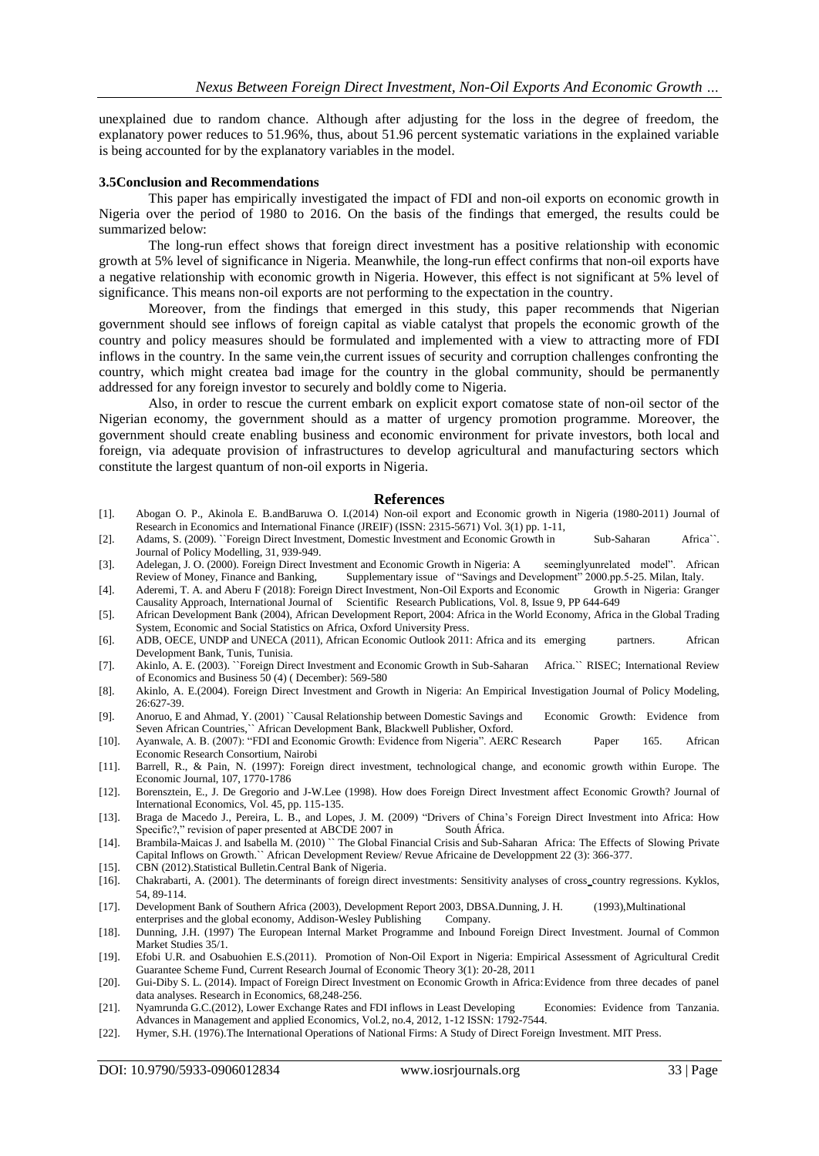unexplained due to random chance. Although after adjusting for the loss in the degree of freedom, the explanatory power reduces to 51.96%, thus, about 51.96 percent systematic variations in the explained variable is being accounted for by the explanatory variables in the model.

#### **3.5Conclusion and Recommendations**

This paper has empirically investigated the impact of FDI and non-oil exports on economic growth in Nigeria over the period of 1980 to 2016. On the basis of the findings that emerged, the results could be summarized below:

The long-run effect shows that foreign direct investment has a positive relationship with economic growth at 5% level of significance in Nigeria. Meanwhile, the long-run effect confirms that non-oil exports have a negative relationship with economic growth in Nigeria. However, this effect is not significant at 5% level of significance. This means non-oil exports are not performing to the expectation in the country.

Moreover, from the findings that emerged in this study, this paper recommends that Nigerian government should see inflows of foreign capital as viable catalyst that propels the economic growth of the country and policy measures should be formulated and implemented with a view to attracting more of FDI inflows in the country. In the same vein,the current issues of security and corruption challenges confronting the country, which might createa bad image for the country in the global community, should be permanently addressed for any foreign investor to securely and boldly come to Nigeria.

Also, in order to rescue the current embark on explicit export comatose state of non-oil sector of the Nigerian economy, the government should as a matter of urgency promotion programme. Moreover, the government should create enabling business and economic environment for private investors, both local and foreign, via adequate provision of infrastructures to develop agricultural and manufacturing sectors which constitute the largest quantum of non-oil exports in Nigeria.

#### **References**

- [1]. Abogan O. P., Akinola E. B.andBaruwa O. I.(2014) Non-oil export and Economic growth in Nigeria (1980-2011) Journal of Research in Economics and International Finance (JREIF) (ISSN: 2315-5671) Vol. 3(1) pp. 1-11,
- [2]. Adams, S. (2009). ``Foreign Direct Investment, Domestic Investment and Economic Growth in Sub-Saharan Africa``. Journal of Policy Modelling, 31, 939-949.
- [3]. Adelegan, J. O. (2000). Foreign Direct Investment and Economic Growth in Nigeria: A seeminglyunrelated model". African Review of Money, Finance and Banking, Supplementary issue of "Savings and Development" 2000.pp.5-2 Supplementary issue of "Savings and Development" 2000.pp.5-25. Milan, Italy.<br>irect Investment, Non-Oil Exports and Economic Growth in Nigeria: Granger
- [4]. Aderemi, T. A. and Aberu F (2018): Foreign Direct Investment, Non-Oil Exports and Economic Causality Approach, International Journal of Scientific Research Publications, Vol. 8, Issue 9, PP 644-649
- [5]. African Development Bank (2004), African Development Report, 2004: Africa in the World Economy, Africa in the Global Trading System, Economic and Social Statistics on Africa, Oxford University Press.
- [6]. ADB, OECE, UNDP and UNECA (2011), African Economic Outlook 2011: Africa and its emerging partners. African Development Bank, Tunis, Tunisia.
- [7]. Akinlo, A. E. (2003). ``Foreign Direct Investment and Economic Growth in Sub-Saharan Africa.`` RISEC; International Review of Economics and Business 50 (4) ( December): 569-580
- [8]. Akinlo, A. E.(2004). Foreign Direct Investment and Growth in Nigeria: An Empirical Investigation Journal of Policy Modeling, 26:627-39.
- [9]. Anoruo, E and Ahmad, Y. (2001) ``Causal Relationship between Domestic Savings and Economic Growth: Evidence from Seven African Countries,`` African Development Bank, Blackwell Publisher, Oxford.
- [10]. Ayanwale, A. B. (2007): "FDI and Economic Growth: Evidence from Nigeria". AERC Research Paper 165. African Economic Research Consortium, Nairobi
- [11]. Barrell, R., & Pain, N. (1997): Foreign direct investment, technological change, and economic growth within Europe. The Economic Journal, 107, 1770-1786
- [12]. Borensztein, E., J. De Gregorio and J-W.Lee (1998). How does Foreign Direct Investment affect Economic Growth? Journal of International Economics, Vol. 45, pp. 115-135.
- [13]. Braga de Macedo J., Pereira, L. B., and Lopes, J. M. (2009) "Drivers of China's Foreign Direct Investment into Africa: How Specific?," revision of paper presented at ABCDE 2007 in South África.
- [14]. Brambila-Maicas J. and Isabella M. (2010) `` The Global Financial Crisis and Sub-Saharan Africa: The Effects of Slowing Private Capital Inflows on Growth.`` African Development Review/ Revue Africaine de Developpment 22 (3): 366-377.
- [15]. CBN (2012).Statistical Bulletin.Central Bank of Nigeria.
- [16]. Chakrabarti, A. (2001). The determinants of foreign direct investments: Sensitivity analyses of cross country regressions. Kyklos, 54, 89-114.
- [17]. Development Bank of Southern Africa (2003), Development Report 2003, DBSA.Dunning, J. H. (1993),Multinational enterprises and the global economy, Addison-Wesley Publishing Company.
- [18]. Dunning, J.H. (1997) The European Internal Market Programme and Inbound Foreign Direct Investment. Journal of Common Market Studies 35/1.
- [19]. Efobi U.R. and Osabuohien E.S.(2011). Promotion of Non-Oil Export in Nigeria: Empirical Assessment of Agricultural Credit Guarantee Scheme Fund, Current Research Journal of Economic Theory 3(1): 20-28, 2011
- [20]. Gui-Diby S. L. (2014). Impact of Foreign Direct Investment on Economic Growth in Africa:Evidence from three decades of panel data analyses. Research in Economics, 68,248-256.
- [21]. Nyamrunda G.C.(2012), Lower Exchange Rates and FDI inflows in Least Developing Economies: Evidence from Tanzania. Advances in Management and applied Economics, Vol.2, no.4, 2012, 1-12 ISSN: 1792-7544.
- [22]. Hymer, S.H. (1976).The International Operations of National Firms: A Study of Direct Foreign Investment. MIT Press.